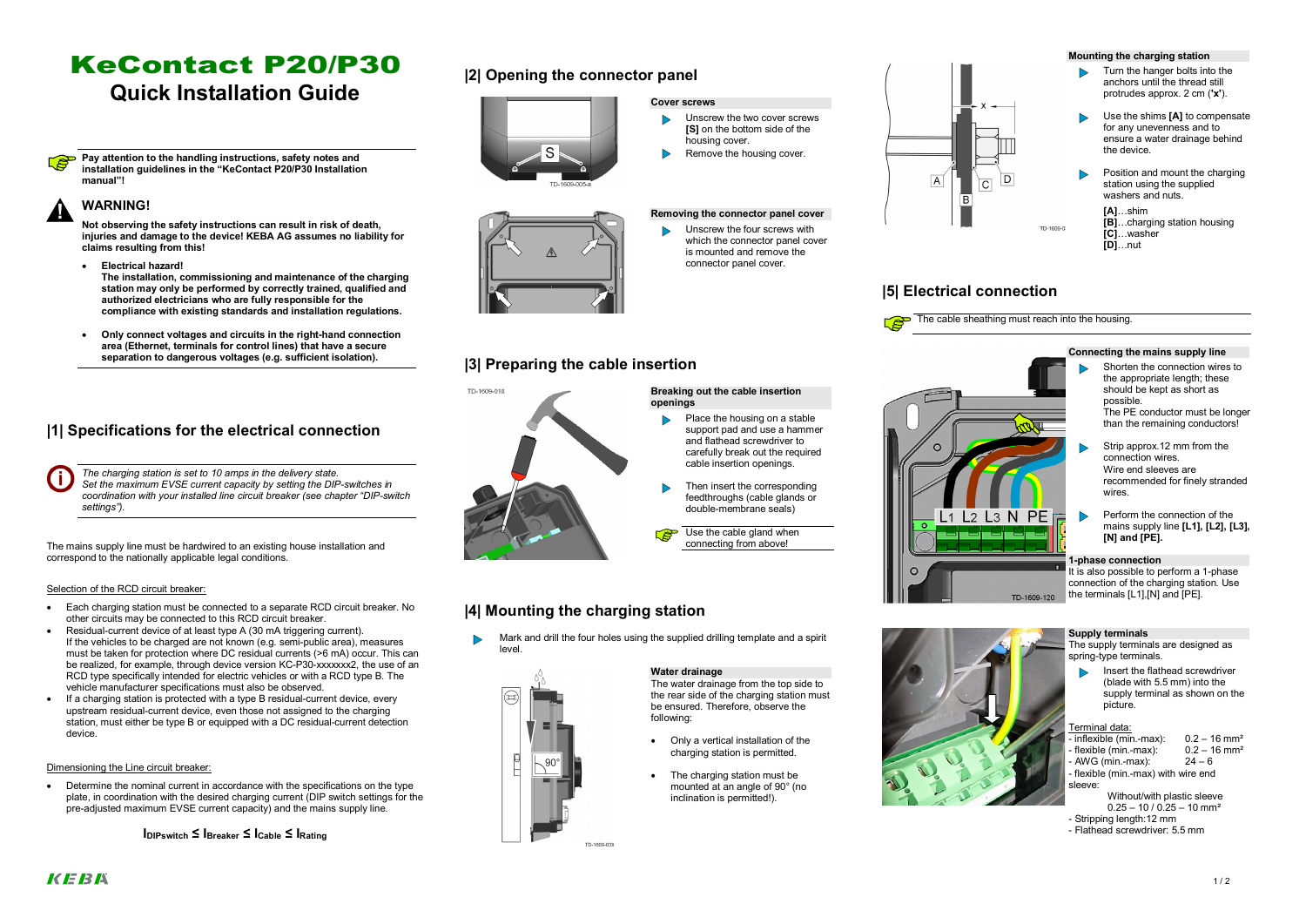# KeContact P20/P30

# **Quick Installation Guide**

**Pay attention to the handling instructions, safety notes and installation guidelines in the "KeContact P20/P30 Installation manual"!**

### **! WARNING!**

**Not observing the safety instructions can result in risk of death, injuries and damage to the device! KEBA AG assumes no liability for claims resulting from this!**

- · **Electrical hazard! The installation, commissioning and maintenance of the charging station may only be performed by correctly trained, qualified and authorized electricians who are fully responsible for the compliance with existing standards and installation regulations.**
- · **Only connect voltages and circuits in the right-hand connection area (Ethernet, terminals for control lines) that have a secure separation to dangerous voltages (e.g. sufficient isolation).**

### **|1| Specifications for the electrical connection**

*The charging station is set to 10 amps in the delivery state. Set the maximum EVSE current capacity by setting the DIP-switches in coordination with your installed line circuit breaker (see chapter "DIP-switch settings").*

The mains supply line must be hardwired to an existing house installation and correspond to the nationally applicable legal conditions.

Determine the nominal current in accordance with the specifications on the type plate, in coordination with the desired charging current (DIP switch settings for the pre-adjusted maximum EVSE current capacity) and the mains supply line.

### Selection of the RCD circuit breaker:

- · Each charging station must be connected to a separate RCD circuit breaker. No other circuits may be connected to this RCD circuit breaker.
- Residual-current device of at least type A (30 mA triggering current). If the vehicles to be charged are not known (e.g. semi-public area), measures must be taken for protection where DC residual currents (>6 mA) occur. This can be realized, for example, through device version KC-P30-xxxxxxx2, the use of an RCD type specifically intended for electric vehicles or with a RCD type B. The vehicle manufacturer specifications must also be observed.
- If a charging station is protected with a type B residual-current device, every upstream residual-current device, even those not assigned to the charging station, must either be type B or equipped with a DC residual-current detection device.

### Dimensioning the Line circuit breaker:

**IDIPswitch ≤ IBreaker ≤ ICable ≤ IRating**

### **|2| Opening the connector panel**



### **Cover screws**

- Unscrew the two cover screws  $\triangleright$ **[S]** on the bottom side of the housing cover.
- Remove the housing cover.

### **Removing the connector panel cover**

Unscrew the four screws with  $\triangleright$ which the connector panel cover is mounted and remove the connector panel cover.

### **|3| Preparing the cable insertion**



### **Breaking out the cable insertion openings**

- Place the housing on a stable support pad and use a hammer and flathead screwdriver to carefully break out the required cable insertion openings.
- Then insert the corresponding feedthroughs (cable glands or double-membrane seals)

Use the cable gland when connecting from above!

# $\Omega$

### **|4| Mounting the charging station**

TD-1609-039

Mark and drill the four holes using the supplied drilling template and a spirit level.



The water drainage from the top side to the rear side of the charging station must be ensured. Therefore, observe the following:

- · Only a vertical installation of the charging station is permitted.
- The charging station must be mounted at an angle of 90° (no inclination is permitted!).



## **|5| Electrical connection**



The cable sheathing must reach into the housing.